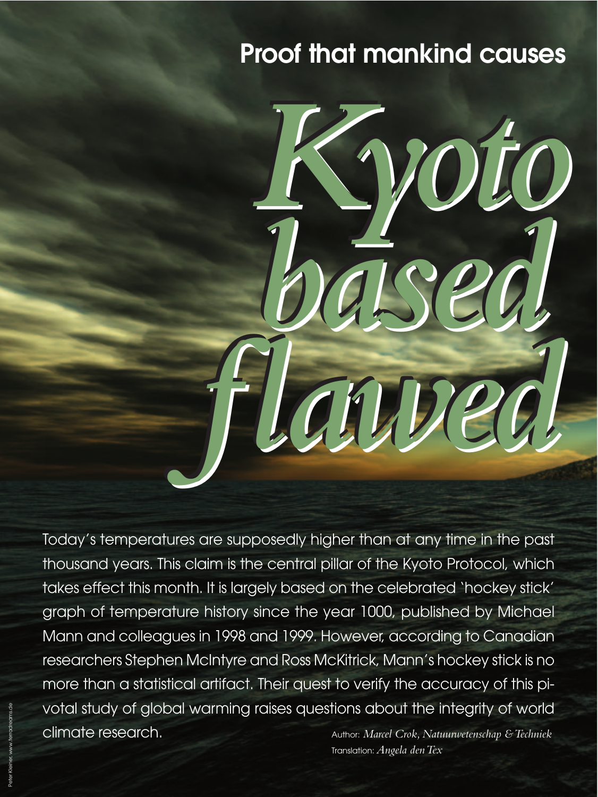# **Proof that mankind causes**



Today's temperatures are supposedly higher than at any time in the past thousand years. This claim is the central pillar of the Kyoto Protocol, which takes effect this month. It is largely based on the celebrated 'hockey stick' graph of temperature history since the year 1000, published by Michael Mann and colleagues in 1998 and 1999. However, according to Canadian researchers Stephen McIntyre and Ross McKitrick, Mann's hockey stick is no more than a statistical artifact. Their quest to verify the accuracy of this pivotal study of global warming raises questions about the integrity of world climate research. Author: *Marcel Crok, Natuurwetenschap & Techniek*

Translation:*Angela den Tex*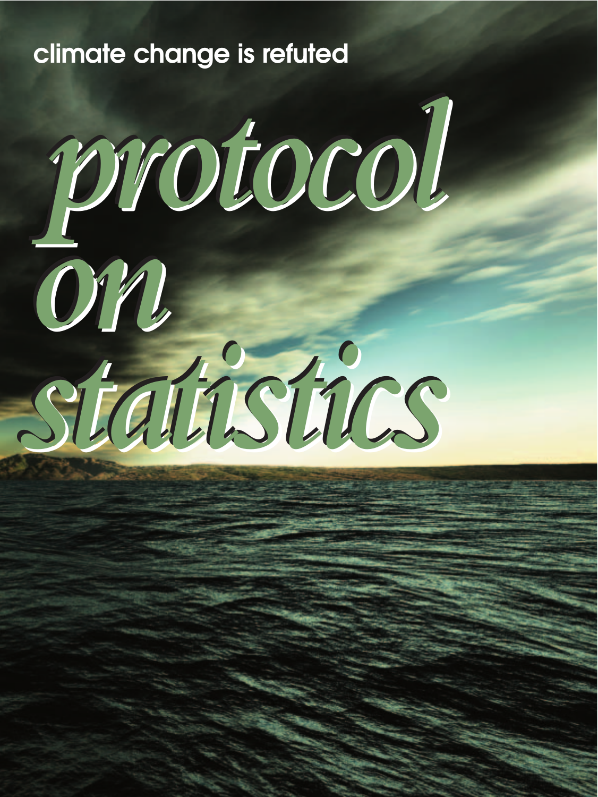# **climate change is refuted**

*protocol protocol protocol*

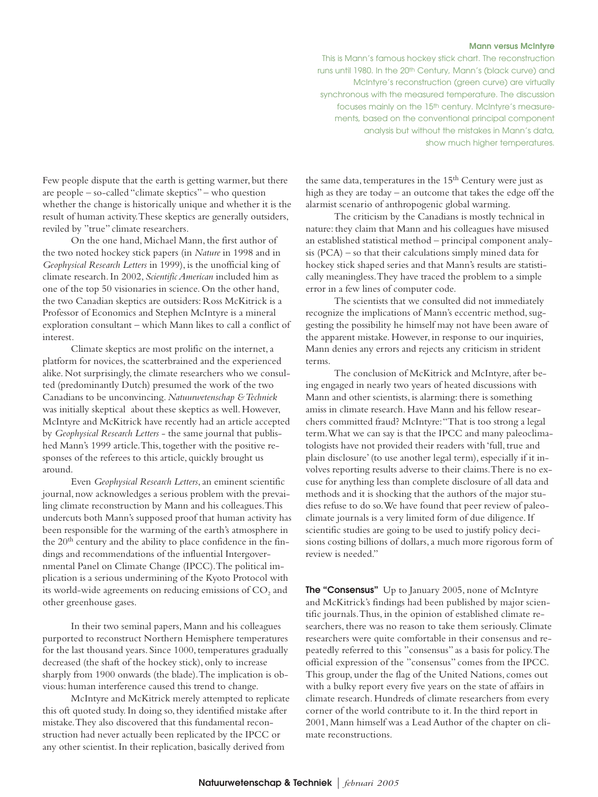### **Mann versus McIntyre**

This is Mann's famous hockey stick chart. The reconstruction runs until 1980. In the 20th Century, Mann's (black curve) and McIntyre's reconstruction (green curve) are virtually synchronous with the measured temperature. The discussion focuses mainly on the 15th century. McIntyre's measurements, based on the conventional principal component analysis but without the mistakes in Mann's data, show much higher temperatures.

Few people dispute that the earth is getting warmer, but there are people – so-called "climate skeptics" – who question whether the change is historically unique and whether it is the result of human activity.These skeptics are generally outsiders, reviled by "true" climate researchers.

On the one hand, Michael Mann, the first author of the two noted hockey stick papers (in *Nature* in 1998 and in *Geophysical Research Letters* in 1999), is the unofficial king of climate research. In 2002, *Scientific American* included him as one of the top 50 visionaries in science. On the other hand, the two Canadian skeptics are outsiders: Ross McKitrick is a Professor of Economics and Stephen McIntyre is a mineral exploration consultant – which Mann likes to call a conflict of interest.

Climate skeptics are most prolific on the internet, a platform for novices, the scatterbrained and the experienced alike. Not surprisingly, the climate researchers who we consulted (predominantly Dutch) presumed the work of the two Canadians to be unconvincing. *Natuurwetenschap & Techniek* was initially skeptical about these skeptics as well. However, McIntyre and McKitrick have recently had an article accepted by *Geophysical Research Letters* - the same journal that published Mann's 1999 article.This, together with the positive responses of the referees to this article, quickly brought us around.

Even *Geophysical Research Letters*, an eminent scientific journal, now acknowledges a serious problem with the prevailing climate reconstruction by Mann and his colleagues.This undercuts both Mann's supposed proof that human activity has been responsible for the warming of the earth's atmosphere in the  $20<sup>th</sup>$  century and the ability to place confidence in the findings and recommendations of the influential Intergovernmental Panel on Climate Change (IPCC).The political implication is a serious undermining of the Kyoto Protocol with its world-wide agreements on reducing emissions of CO<sub>2</sub> and other greenhouse gases.

In their two seminal papers, Mann and his colleagues purported to reconstruct Northern Hemisphere temperatures for the last thousand years. Since 1000, temperatures gradually decreased (the shaft of the hockey stick), only to increase sharply from 1900 onwards (the blade).The implication is obvious: human interference caused this trend to change.

McIntyre and McKitrick merely attempted to replicate this oft quoted study. In doing so, they identified mistake after mistake.They also discovered that this fundamental reconstruction had never actually been replicated by the IPCC or any other scientist. In their replication, basically derived from

the same data, temperatures in the 15<sup>th</sup> Century were just as high as they are today – an outcome that takes the edge off the alarmist scenario of anthropogenic global warming.

The criticism by the Canadians is mostly technical in nature: they claim that Mann and his colleagues have misused an established statistical method – principal component analysis (PCA) – so that their calculations simply mined data for hockey stick shaped series and that Mann's results are statistically meaningless.They have traced the problem to a simple error in a few lines of computer code.

The scientists that we consulted did not immediately recognize the implications of Mann's eccentric method, suggesting the possibility he himself may not have been aware of the apparent mistake. However, in response to our inquiries, Mann denies any errors and rejects any criticism in strident terms.

The conclusion of McKitrick and McIntyre, after being engaged in nearly two years of heated discussions with Mann and other scientists, is alarming: there is something amiss in climate research. Have Mann and his fellow researchers committed fraud? McIntyre:"That is too strong a legal term.What we can say is that the IPCC and many paleoclimatologists have not provided their readers with 'full, true and plain disclosure' (to use another legal term), especially if it involves reporting results adverse to their claims.There is no excuse for anything less than complete disclosure of all data and methods and it is shocking that the authors of the major studies refuse to do so.We have found that peer review of paleoclimate journals is a very limited form of due diligence. If scientific studies are going to be used to justify policy decisions costing billions of dollars, a much more rigorous form of review is needed."

**The "Consensus"** Up to January 2005, none of McIntyre and McKitrick's findings had been published by major scientific journals.Thus, in the opinion of established climate researchers, there was no reason to take them seriously. Climate researchers were quite comfortable in their consensus and repeatedly referred to this "consensus" as a basis for policy.The official expression of the "consensus" comes from the IPCC. This group, under the flag of the United Nations, comes out with a bulky report every five years on the state of affairs in climate research. Hundreds of climate researchers from every corner of the world contribute to it. In the third report in 2001, Mann himself was a Lead Author of the chapter on climate reconstructions.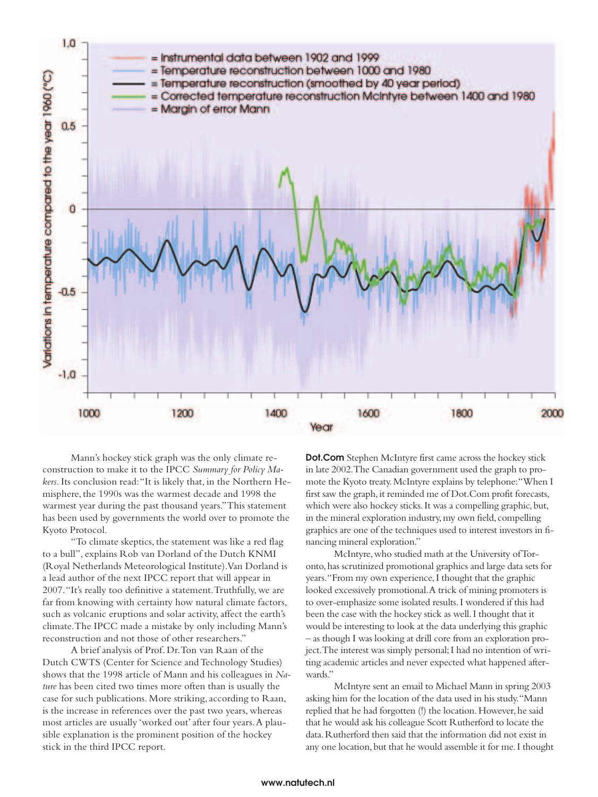

Mann's hockey stick graph was the only climate reconstruction to make it to the IPCC *Summary for Policy Makers*. Its conclusion read:"It is likely that, in the Northern Hemisphere, the 1990s was the warmest decade and 1998 the warmest year during the past thousand years."This statement has been used by governments the world over to promote the Kyoto Protocol.

"To climate skeptics, the statement was like a red flag to a bull", explains Rob van Dorland of the Dutch KNMI (Royal Netherlands Meteorological Institute).Van Dorland is a lead author of the next IPCC report that will appear in 2007."It's really too definitive a statement.Truthfully, we are far from knowing with certainty how natural climate factors, such as volcanic eruptions and solar activity, affect the earth's climate.The IPCC made a mistake by only including Mann's reconstruction and not those of other researchers."

A brief analysis of Prof. Dr.Ton van Raan of the Dutch CWTS (Center for Science and Technology Studies) shows that the 1998 article of Mann and his colleagues in *Nature* has been cited two times more often than is usually the case for such publications. More striking, according to Raan, is the increase in references over the past two years, whereas most articles are usually 'worked out' after four years.A plausible explanation is the prominent position of the hockey stick in the third IPCC report.

**Dot.Com** Stephen McIntyre first came across the hockey stick in late 2002.The Canadian government used the graph to promote the Kyoto treaty.McIntyre explains by telephone:"When I first saw the graph, it reminded me of Dot.Com profit forecasts, which were also hockey sticks. It was a compelling graphic, but, in the mineral exploration industry, my own field, compelling graphics are one of the techniques used to interest investors in financing mineral exploration."

McIntyre,who studied math at the University of Toronto,has scrutinized promotional graphics and large data sets for years."From my own experience,I thought that the graphic looked excessively promotional.A trick of mining promoters is to over-emphasize some isolated results.I wondered if this had been the case with the hockey stick as well.I thought that it would be interesting to look at the data underlying this graphic – as though I was looking at drill core from an exploration project.The interest was simply personal;I had no intention of writing academic articles and never expected what happened afterwards."

McIntyre sent an email to Michael Mann in spring 2003 asking him for the location of the data used in his study."Mann replied that he had forgotten (!) the location. However, he said that he would ask his colleague Scott Rutherford to locate the data.Rutherford then said that the information did not exist in any one location,but that he would assemble it for me.I thought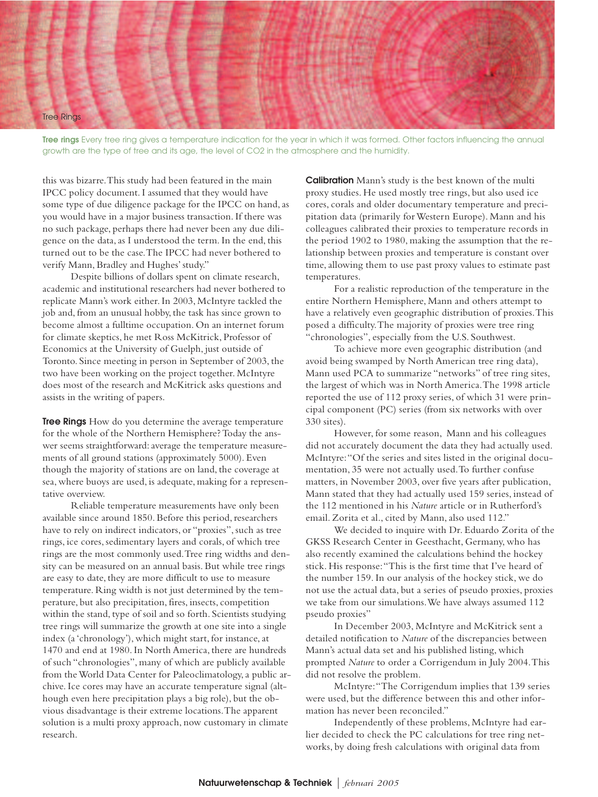

**Tree rings** Every tree ring gives a temperature indication for the year in which it was formed. Other factors influencing the annual growth are the type of tree and its age, the level of CO2 in the atmosphere and the humidity.

this was bizarre.This study had been featured in the main IPCC policy document. I assumed that they would have some type of due diligence package for the IPCC on hand, as you would have in a major business transaction. If there was no such package, perhaps there had never been any due diligence on the data, as I understood the term. In the end, this turned out to be the case.The IPCC had never bothered to verify Mann, Bradley and Hughes' study."

Despite billions of dollars spent on climate research, academic and institutional researchers had never bothered to replicate Mann's work either. In 2003, McIntyre tackled the job and, from an unusual hobby, the task has since grown to become almost a fulltime occupation. On an internet forum for climate skeptics, he met Ross McKitrick, Professor of Economics at the University of Guelph, just outside of Toronto. Since meeting in person in September of 2003, the two have been working on the project together. McIntyre does most of the research and McKitrick asks questions and assists in the writing of papers.

**Tree Rings** How do you determine the average temperature for the whole of the Northern Hemisphere? Today the answer seems straightforward: average the temperature measurements of all ground stations (approximately 5000). Even though the majority of stations are on land, the coverage at sea, where buoys are used, is adequate, making for a representative overview.

Reliable temperature measurements have only been available since around 1850. Before this period, researchers have to rely on indirect indicators, or "proxies", such as tree rings, ice cores, sedimentary layers and corals, of which tree rings are the most commonly used.Tree ring widths and density can be measured on an annual basis. But while tree rings are easy to date, they are more difficult to use to measure temperature. Ring width is not just determined by the temperature, but also precipitation, fires, insects, competition within the stand, type of soil and so forth. Scientists studying tree rings will summarize the growth at one site into a single index (a 'chronology'), which might start, for instance, at 1470 and end at 1980. In North America, there are hundreds of such "chronologies", many of which are publicly available from the World Data Center for Paleoclimatology, a public archive. Ice cores may have an accurate temperature signal (although even here precipitation plays a big role), but the obvious disadvantage is their extreme locations.The apparent solution is a multi proxy approach, now customary in climate research.

**Calibration** Mann's study is the best known of the multi proxy studies. He used mostly tree rings, but also used ice cores, corals and older documentary temperature and precipitation data (primarily for Western Europe). Mann and his colleagues calibrated their proxies to temperature records in the period 1902 to 1980, making the assumption that the relationship between proxies and temperature is constant over time, allowing them to use past proxy values to estimate past temperatures.

For a realistic reproduction of the temperature in the entire Northern Hemisphere, Mann and others attempt to have a relatively even geographic distribution of proxies.This posed a difficulty.The majority of proxies were tree ring "chronologies", especially from the U.S. Southwest.

To achieve more even geographic distribution (and avoid being swamped by North American tree ring data), Mann used PCA to summarize "networks" of tree ring sites, the largest of which was in North America.The 1998 article reported the use of 112 proxy series, of which 31 were principal component (PC) series (from six networks with over 330 sites).

However, for some reason, Mann and his colleagues did not accurately document the data they had actually used. McIntyre:"Of the series and sites listed in the original documentation, 35 were not actually used.To further confuse matters, in November 2003, over five years after publication, Mann stated that they had actually used 159 series, instead of the 112 mentioned in his *Nature* article or in Rutherford's email. Zorita et al., cited by Mann, also used 112."

We decided to inquire with Dr. Eduardo Zorita of the GKSS Research Center in Geesthacht, Germany, who has also recently examined the calculations behind the hockey stick. His response:"This is the first time that I've heard of the number 159. In our analysis of the hockey stick, we do not use the actual data, but a series of pseudo proxies, proxies we take from our simulations.We have always assumed 112 pseudo proxies"

In December 2003, McIntyre and McKitrick sent a detailed notification to *Nature* of the discrepancies between Mann's actual data set and his published listing, which prompted *Nature* to order a Corrigendum in July 2004.This did not resolve the problem.

McIntyre:"The Corrigendum implies that 139 series were used, but the difference between this and other information has never been reconciled."

Independently of these problems, McIntyre had earlier decided to check the PC calculations for tree ring networks, by doing fresh calculations with original data from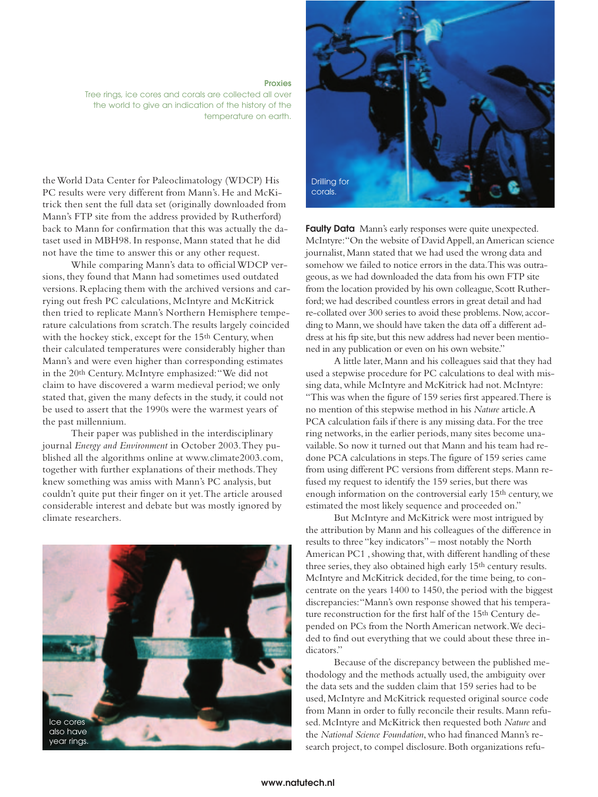**Proxies** Tree rings, ice cores and corals are collected all over the world to give an indication of the history of the temperature on earth.

the World Data Center for Paleoclimatology (WDCP) His PC results were very different from Mann's. He and McKitrick then sent the full data set (originally downloaded from Mann's FTP site from the address provided by Rutherford) back to Mann for confirmation that this was actually the dataset used in MBH98. In response, Mann stated that he did not have the time to answer this or any other request.

While comparing Mann's data to official WDCP versions, they found that Mann had sometimes used outdated versions. Replacing them with the archived versions and carrying out fresh PC calculations, McIntyre and McKitrick then tried to replicate Mann's Northern Hemisphere temperature calculations from scratch.The results largely coincided with the hockey stick, except for the 15<sup>th</sup> Century, when their calculated temperatures were considerably higher than Mann's and were even higher than corresponding estimates in the 20th Century. McIntyre emphasized:"We did not claim to have discovered a warm medieval period; we only stated that, given the many defects in the study, it could not be used to assert that the 1990s were the warmest years of the past millennium.

Their paper was published in the interdisciplinary journal *Energy and Environment* in October 2003.They published all the algorithms online at www.climate2003.com, together with further explanations of their methods.They knew something was amiss with Mann's PC analysis, but couldn't quite put their finger on it yet.The article aroused considerable interest and debate but was mostly ignored by climate researchers.





**Faulty Data** Mann's early responses were quite unexpected. McIntyre:"On the website of David Appell,an American science journalist, Mann stated that we had used the wrong data and somehow we failed to notice errors in the data.This was outrageous,as we had downloaded the data from his own FTP site from the location provided by his own colleague, Scott Rutherford;we had described countless errors in great detail and had re-collated over 300 series to avoid these problems.Now,according to Mann,we should have taken the data off a different address at his ftp site, but this new address had never been mentioned in any publication or even on his own website."

A little later, Mann and his colleagues said that they had used a stepwise procedure for PC calculations to deal with missing data, while McIntyre and McKitrick had not. McIntyre: "This was when the figure of 159 series first appeared.There is no mention of this stepwise method in his *Nature* article.A PCA calculation fails if there is any missing data. For the tree ring networks, in the earlier periods, many sites become unavailable. So now it turned out that Mann and his team had redone PCA calculations in steps.The figure of 159 series came from using different PC versions from different steps. Mann refused my request to identify the 159 series, but there was enough information on the controversial early 15th century, we estimated the most likely sequence and proceeded on."

But McIntyre and McKitrick were most intrigued by the attribution by Mann and his colleagues of the difference in results to three "key indicators" – most notably the North American PC1 , showing that, with different handling of these three series, they also obtained high early 15th century results. McIntyre and McKitrick decided, for the time being, to concentrate on the years 1400 to 1450, the period with the biggest discrepancies:"Mann's own response showed that his temperature reconstruction for the first half of the 15th Century depended on PCs from the North American network.We decided to find out everything that we could about these three indicators."

Because of the discrepancy between the published methodology and the methods actually used, the ambiguity over the data sets and the sudden claim that 159 series had to be used, McIntyre and McKitrick requested original source code from Mann in order to fully reconcile their results. Mann refused. McIntyre and McKitrick then requested both *Nature* and the *National Science Foundation*, who had financed Mann's research project, to compel disclosure. Both organizations refu-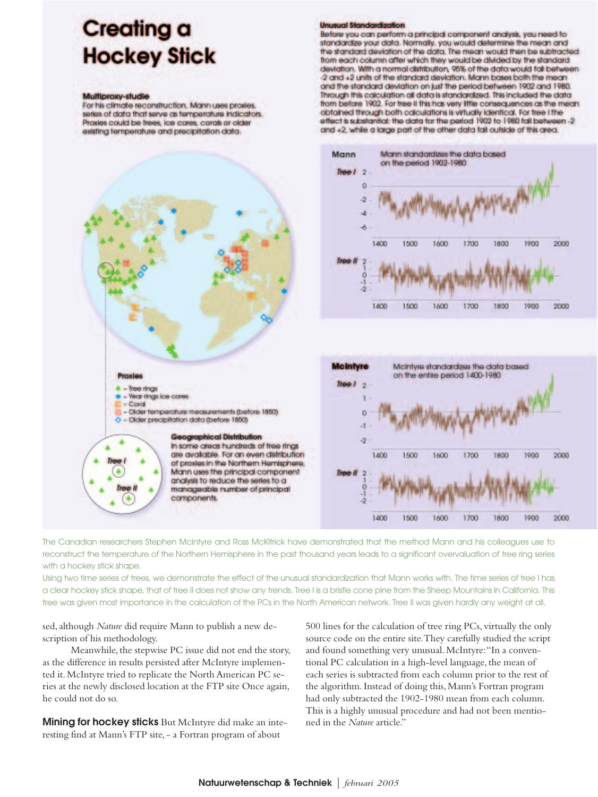## **Creating a Hockey Stick**

#### Multiproxy-studie

For his climate reconstruction, Mann uses proxies. series of data that serve as femperature indicators. Proxies could be frees, ice cores, corals or older existing temperature and precipitation data.



Before you can perform a principal component analysis, you need to standardze your data. Normally, you would determine the mean and the standard deviation of the data. The mean would then be subtracted from each column after which they would be divided by the standard deviation. With a normal distribution, 95% of the data would fall between 2 and +2 units of the standard deviation. Mann bases both the mean and the standard deviation on just the period between 1902 and 1980. Through this calculation all data is standardized. This included the data from before 1902. For tree II this has very little consequences as the mean obtained through both calculations is virtually identical. For tree if he effect is substantial: the data for the period 1902 to 1980 fall between -2 and +2, while a large part of the other data tail outside of this area.



The Canadian researchers Stephen McIntyre and Ross McKitrick have demonstrated that the method Mann and his colleagues use to reconstruct the temperature of the Northern Hemisphere in the past thousand years leads to a significant overvaluation of tree ring series with a hockey stick shape.

Using two time series of trees, we demonstrate the effect of the unusual standardization that Mann works with. The time series of tree I has a clear hockey stick shape, that of tree II does not show any trends. Tree I is a bristle cone pine from the Sheep Mountains in California. This tree was given most importance in the calculation of the PCs in the North American network. Tree II was given hardly any weight at all.

sed, although *Nature* did require Mann to publish a new description of his methodology.

Meanwhile, the stepwise PC issue did not end the story, as the difference in results persisted after McIntyre implemented it. McIntyre tried to replicate the North American PC series at the newly disclosed location at the FTP site Once again, he could not do so.

**Mining for hockey sticks** But McIntyre did make an interesting find at Mann's FTP site, - a Fortran program of about

500 lines for the calculation of tree ring PCs, virtually the only source code on the entire site.They carefully studied the script and found something very unusual. McIntyre:"In a conventional PC calculation in a high-level language, the mean of each series is subtracted from each column prior to the rest of the algorithm. Instead of doing this, Mann's Fortran program had only subtracted the 1902-1980 mean from each column. This is a highly unusual procedure and had not been mentioned in the *Nature* article."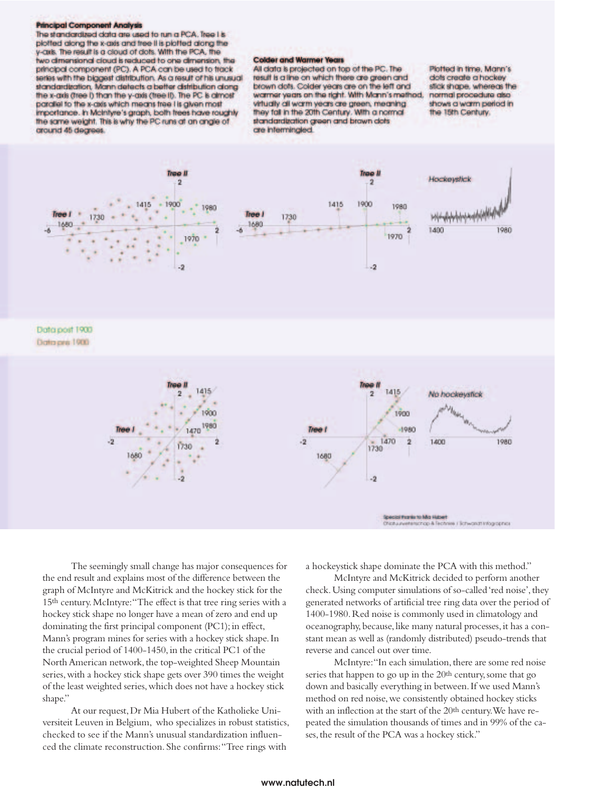#### **Principal Component Analysis**

The standardized data are used to run a PCA. Tree I is plotted along the x-gais and tree it is plotted along the y-axis. The result is a cloud of dots. With the PCA, the two dimensional cloud is reduced to one dimension, the principal component (PC). A PCA can be used to track series with the biggest distribution. As a result of his unusual standardization, Mann detects a better distribution along the x-axis (tree I) than the y-axis (tree II). The PC is almost parallel to the x-axis which means tree I is given most importance. In McInityre's graph, both frees have roughly the same weight. This is why the PC runs at an angle of cround 45 degrees.

#### **Colder and Warmer Years**

All clata is projected on top of the PC. The result is a line on which there are green and brown dots. Colder years are on the left and warmer years on the right. With Mann's method, virtually all warm years are green, meaning they fall in the 20th Century. With a normal standardization green and brown dots are interminated.

Plotted in time, Mann's dots create a hockey stick shape, whereas the normal procedure also shows a warm period in the 15th Century.



The seemingly small change has major consequences for the end result and explains most of the difference between the graph of McIntyre and McKitrick and the hockey stick for the 15th century.McIntyre:"The effect is that tree ring series with a hockey stick shape no longer have a mean of zero and end up dominating the first principal component (PC1); in effect, Mann's program mines for series with a hockey stick shape.In the crucial period of 1400-1450, in the critical PC1 of the North American network, the top-weighted Sheep Mountain series,with a hockey stick shape gets over 390 times the weight of the least weighted series,which does not have a hockey stick shape."

At our request,Dr Mia Hubert of the Katholieke Universiteit Leuven in Belgium, who specializes in robust statistics, checked to see if the Mann's unusual standardization influenced the climate reconstruction. She confirms:"Tree rings with

a hockeystick shape dominate the PCA with this method."

McIntyre and McKitrick decided to perform another check. Using computer simulations of so-called 'red noise', they generated networks of artificial tree ring data over the period of 1400-1980.Red noise is commonly used in climatology and oceanography, because, like many natural processes, it has a constant mean as well as (randomly distributed) pseudo-trends that reverse and cancel out over time.

McIntyre: "In each simulation, there are some red noise series that happen to go up in the  $20<sup>th</sup>$  century, some that go down and basically everything in between.If we used Mann's method on red noise,we consistently obtained hockey sticks with an inflection at the start of the 20<sup>th</sup> century. We have repeated the simulation thousands of times and in 99% of the cases, the result of the PCA was a hockey stick."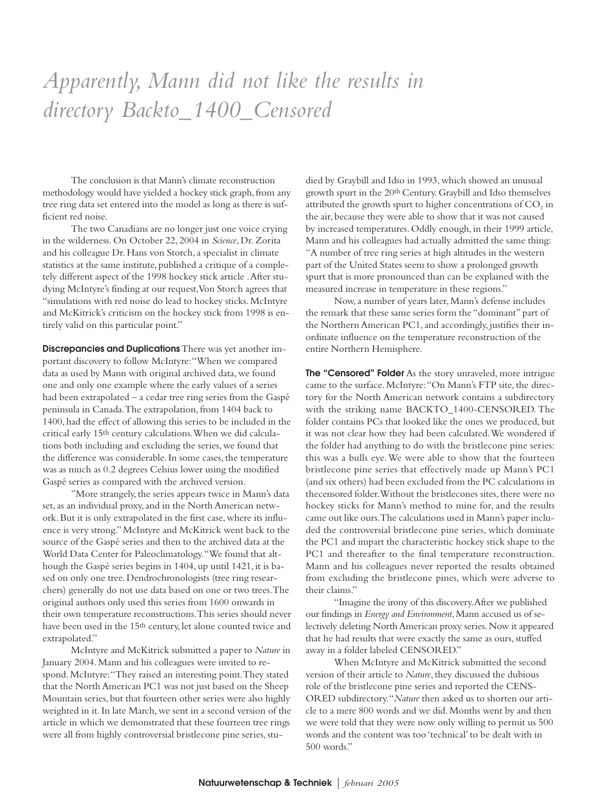## *Apparently, Mann did not like the results in directory Backto\_1400\_Censored*

The conclusion is that Mann's climate reconstruction methodology would have yielded a hockey stick graph, from any tree ring data set entered into the model as long as there is sufficient red noise.

The two Canadians are no longer just one voice crying in the wilderness. On October 22, 2004 in *Science*, Dr. Zorita and his colleague Dr. Hans von Storch, a specialist in climate statistics at the same institute, published a critique of a completely different aspect of the 1998 hockey stick article .After studying McIntyre's finding at our request,Von Storch agrees that "simulations with red noise do lead to hockey sticks. McIntyre and McKitrick's criticism on the hockey stick from 1998 is entirely valid on this particular point."

**Discrepancies and Duplications**There was yet another important discovery to follow McIntyre:"When we compared data as used by Mann with original archived data, we found one and only one example where the early values of a series had been extrapolated – a cedar tree ring series from the Gaspé peninsula in Canada.The extrapolation, from 1404 back to 1400, had the effect of allowing this series to be included in the critical early 15th century calculations.When we did calculations both including and excluding the series, we found that the difference was considerable. In some cases, the temperature was as much as 0.2 degrees Celsius lower using the modified Gaspé series as compared with the archived version.

"More strangely, the series appears twice in Mann's data set, as an individual proxy, and in the North American network. But it is only extrapolated in the first case, where its influence is very strong." McIntyre and McKitrick went back to the source of the Gaspé series and then to the archived data at the World Data Center for Paleoclimatology."We found that although the Gaspé series begins in 1404, up until 1421, it is based on only one tree. Dendrochronologists (tree ring researchers) generally do not use data based on one or two trees.The original authors only used this series from 1600 onwards in their own temperature reconstructions.This series should never have been used in the 15th century, let alone counted twice and extrapolated."

McIntyre and McKitrick submitted a paper to *Nature* in January 2004. Mann and his colleagues were invited to respond. McIntyre:"They raised an interesting point.They stated that the North American PC1 was not just based on the Sheep Mountain series, but that fourteen other series were also highly weighted in it. In late March, we sent in a second version of the article in which we demonstrated that these fourteen tree rings were all from highly controversial bristlecone pine series, studied by Graybill and Idso in 1993, which showed an unusual growth spurt in the 20th Century. Graybill and Idso themselves attributed the growth spurt to higher concentrations of  $CO<sub>2</sub>$  in the air, because they were able to show that it was not caused by increased temperatures. Oddly enough, in their 1999 article, Mann and his colleagues had actually admitted the same thing: "A number of tree ring series at high altitudes in the western part of the United States seem to show a prolonged growth spurt that is more pronounced than can be explained with the measured increase in temperature in these regions."

Now, a number of years later, Mann's defense includes the remark that these same series form the "dominant" part of the Northern American PC1, and accordingly, justifies their inordinate influence on the temperature reconstruction of the entire Northern Hemisphere.

**The "Censored" Folder** As the story unraveled, more intrigue came to the surface. McIntyre:"On Mann's FTP site, the directory for the North American network contains a subdirectory with the striking name BACKTO\_1400-CENSORED. The folder contains PCs that looked like the ones we produced, but it was not clear how they had been calculated.We wondered if the folder had anything to do with the bristlecone pine series: this was a bulls eye.We were able to show that the fourteen bristlecone pine series that effectively made up Mann's PC1 (and six others) had been excluded from the PC calculations in thecensored folder.Without the bristlecones sites, there were no hockey sticks for Mann's method to mine for, and the results came out like ours.The calculations used in Mann's paper included the controversial bristlecone pine series, which dominate the PC1 and impart the characteristic hockey stick shape to the PC1 and thereafter to the final temperature reconstruction. Mann and his colleagues never reported the results obtained from excluding the bristlecone pines, which were adverse to their claims."

"Imagine the irony of this discovery.After we published our findings in *Energy and Environment*,Mann accused us of selectively deleting North American proxy series.Now it appeared that he had results that were exactly the same as ours, stuffed away in a folder labeled CENSORED."

When McIntyre and McKitrick submitted the second version of their article to *Nature*, they discussed the dubious role of the bristlecone pine series and reported the CENS-ORED subdirectory."*Nature* then asked us to shorten our article to a mere 800 words and we did. Months went by and then we were told that they were now only willing to permit us 500 words and the content was too 'technical' to be dealt with in 500 words."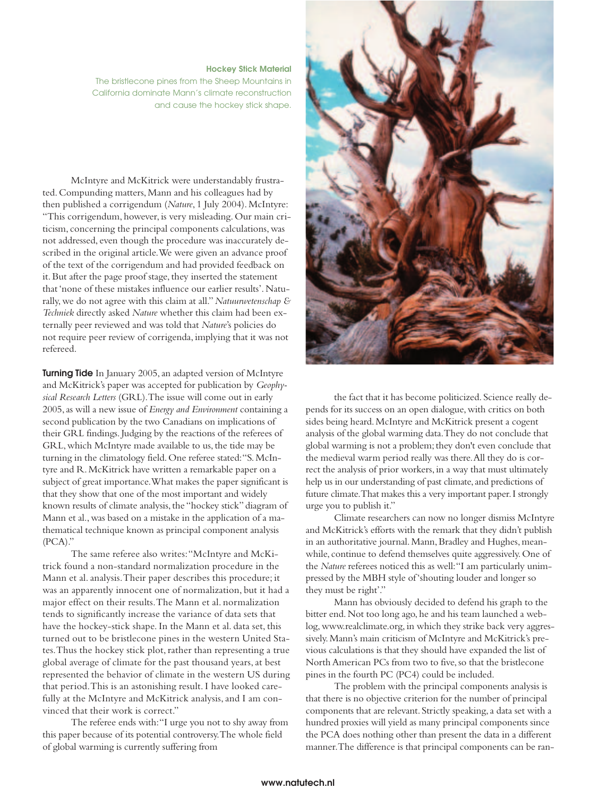### **Hockey Stick Material**

The bristlecone pines from the Sheep Mountains in California dominate Mann's climate reconstruction and cause the hockey stick shape.

McIntyre and McKitrick were understandably frustrated. Compunding matters, Mann and his colleagues had by then published a corrigendum (*Nature*, 1 July 2004). McIntyre: "This corrigendum, however, is very misleading. Our main criticism, concerning the principal components calculations, was not addressed, even though the procedure was inaccurately described in the original article.We were given an advance proof of the text of the corrigendum and had provided feedback on it. But after the page proof stage, they inserted the statement that 'none of these mistakes influence our earlier results'. Naturally, we do not agree with this claim at all."*Natuurwetenschap & Techniek* directly asked *Nature* whether this claim had been externally peer reviewed and was told that *Nature*'s policies do not require peer review of corrigenda, implying that it was not refereed.

**Turning Tide** In January 2005, an adapted version of McIntyre and McKitrick's paper was accepted for publication by *Geophysical Research Letters* (GRL).The issue will come out in early 2005, as will a new issue of *Energy and Environment* containing a second publication by the two Canadians on implications of their GRL findings. Judging by the reactions of the referees of GRL, which McIntyre made available to us, the tide may be turning in the climatology field. One referee stated:"S. McIntyre and R. McKitrick have written a remarkable paper on a subject of great importance.What makes the paper significant is that they show that one of the most important and widely known results of climate analysis, the "hockey stick" diagram of Mann et al., was based on a mistake in the application of a mathematical technique known as principal component analysis (PCA)."

The same referee also writes:"McIntyre and McKitrick found a non-standard normalization procedure in the Mann et al. analysis.Their paper describes this procedure; it was an apparently innocent one of normalization, but it had a major effect on their results.The Mann et al. normalization tends to significantly increase the variance of data sets that have the hockey-stick shape. In the Mann et al. data set, this turned out to be bristlecone pines in the western United States.Thus the hockey stick plot, rather than representing a true global average of climate for the past thousand years, at best represented the behavior of climate in the western US during that period.This is an astonishing result. I have looked carefully at the McIntyre and McKitrick analysis, and I am convinced that their work is correct."

The referee ends with:"I urge you not to shy away from this paper because of its potential controversy.The whole field of global warming is currently suffering from

![](_page_9_Picture_6.jpeg)

the fact that it has become politicized. Science really depends for its success on an open dialogue, with critics on both sides being heard. McIntyre and McKitrick present a cogent analysis of the global warming data.They do not conclude that global warming is not a problem; they don't even conclude that the medieval warm period really was there.All they do is correct the analysis of prior workers, in a way that must ultimately help us in our understanding of past climate, and predictions of future climate.That makes this a very important paper.I strongly urge you to publish it."

Climate researchers can now no longer dismiss McIntyre and McKitrick's efforts with the remark that they didn't publish in an authoritative journal. Mann, Bradley and Hughes, meanwhile, continue to defend themselves quite aggressively. One of the *Nature* referees noticed this as well:"I am particularly unimpressed by the MBH style of 'shouting louder and longer so they must be right'."

Mann has obviously decided to defend his graph to the bitter end. Not too long ago, he and his team launched a weblog, www.realclimate.org, in which they strike back very aggressively. Mann's main criticism of McIntyre and McKitrick's previous calculations is that they should have expanded the list of North American PCs from two to five, so that the bristlecone pines in the fourth PC (PC4) could be included.

The problem with the principal components analysis is that there is no objective criterion for the number of principal components that are relevant. Strictly speaking, a data set with a hundred proxies will yield as many principal components since the PCA does nothing other than present the data in a different manner.The difference is that principal components can be ran-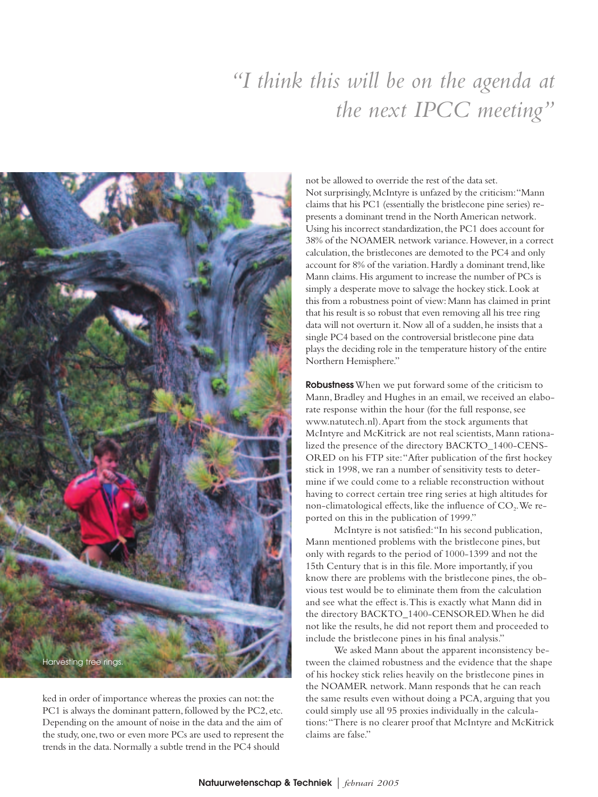## *"I think this will be on the agenda at the next IPCC meeting"*

![](_page_10_Picture_1.jpeg)

ked in order of importance whereas the proxies can not: the PC1 is always the dominant pattern, followed by the PC2, etc. Depending on the amount of noise in the data and the aim of the study, one, two or even more PCs are used to represent the trends in the data. Normally a subtle trend in the PC4 should

not be allowed to override the rest of the data set. Not surprisingly, McIntyre is unfazed by the criticism:"Mann claims that his PC1 (essentially the bristlecone pine series) represents a dominant trend in the North American network. Using his incorrect standardization, the PC1 does account for 38% of the NOAMER network variance. However, in a correct calculation, the bristlecones are demoted to the PC4 and only account for 8% of the variation. Hardly a dominant trend, like Mann claims. His argument to increase the number of PCs is simply a desperate move to salvage the hockey stick. Look at this from a robustness point of view: Mann has claimed in print that his result is so robust that even removing all his tree ring data will not overturn it. Now all of a sudden, he insists that a single PC4 based on the controversial bristlecone pine data plays the deciding role in the temperature history of the entire Northern Hemisphere."

**Robustness**When we put forward some of the criticism to Mann, Bradley and Hughes in an email, we received an elaborate response within the hour (for the full response, see www.natutech.nl).Apart from the stock arguments that McIntyre and McKitrick are not real scientists, Mann rationalized the presence of the directory BACKTO\_1400-CENS-ORED on his FTP site:"After publication of the first hockey stick in 1998, we ran a number of sensitivity tests to determine if we could come to a reliable reconstruction without having to correct certain tree ring series at high altitudes for non-climatological effects, like the influence of  $CO<sub>2</sub>$ . We reported on this in the publication of 1999."

McIntyre is not satisfied:"In his second publication, Mann mentioned problems with the bristlecone pines, but only with regards to the period of 1000-1399 and not the 15th Century that is in this file. More importantly, if you know there are problems with the bristlecone pines, the obvious test would be to eliminate them from the calculation and see what the effect is.This is exactly what Mann did in the directory BACKTO\_1400-CENSORED.When he did not like the results, he did not report them and proceeded to include the bristlecone pines in his final analysis."

We asked Mann about the apparent inconsistency between the claimed robustness and the evidence that the shape of his hockey stick relies heavily on the bristlecone pines in the NOAMER network. Mann responds that he can reach the same results even without doing a PCA, arguing that you could simply use all 95 proxies individually in the calculations:"There is no clearer proof that McIntyre and McKitrick claims are false."